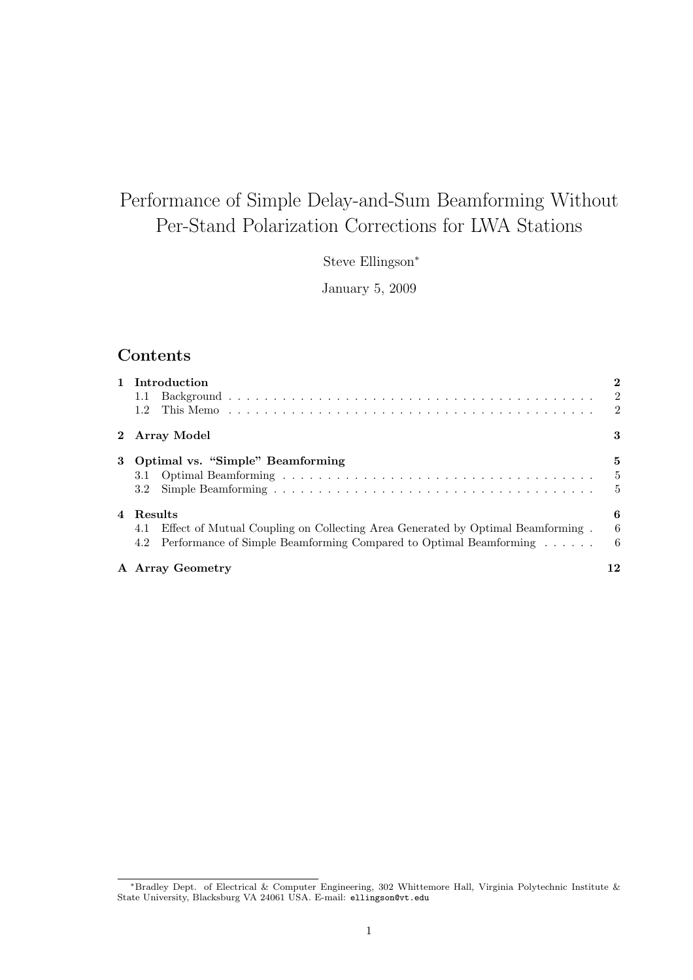# Performance of Simple Delay-and-Sum Beamforming Without Per-Stand Polarization Corrections for LWA Stations

Steve Ellingson<sup>∗</sup>

January 5, 2009

## Contents

| 1 Introduction                                                                     |    |
|------------------------------------------------------------------------------------|----|
|                                                                                    |    |
| 1.2                                                                                |    |
| 2 Array Model                                                                      | 3  |
| 3 Optimal vs. "Simple" Beamforming                                                 | 5  |
|                                                                                    |    |
| 3.2                                                                                | -5 |
| 4 Results                                                                          | 6  |
| 4.1 Effect of Mutual Coupling on Collecting Area Generated by Optimal Beamforming. | -6 |
| 4.2 Performance of Simple Beamforming Compared to Optimal Beamforming              | -6 |
| A Array Geometry                                                                   | 12 |

<sup>∗</sup>Bradley Dept. of Electrical & Computer Engineering, 302 Whittemore Hall, Virginia Polytechnic Institute & State University, Blacksburg VA 24061 USA. E-mail: ellingson@vt.edu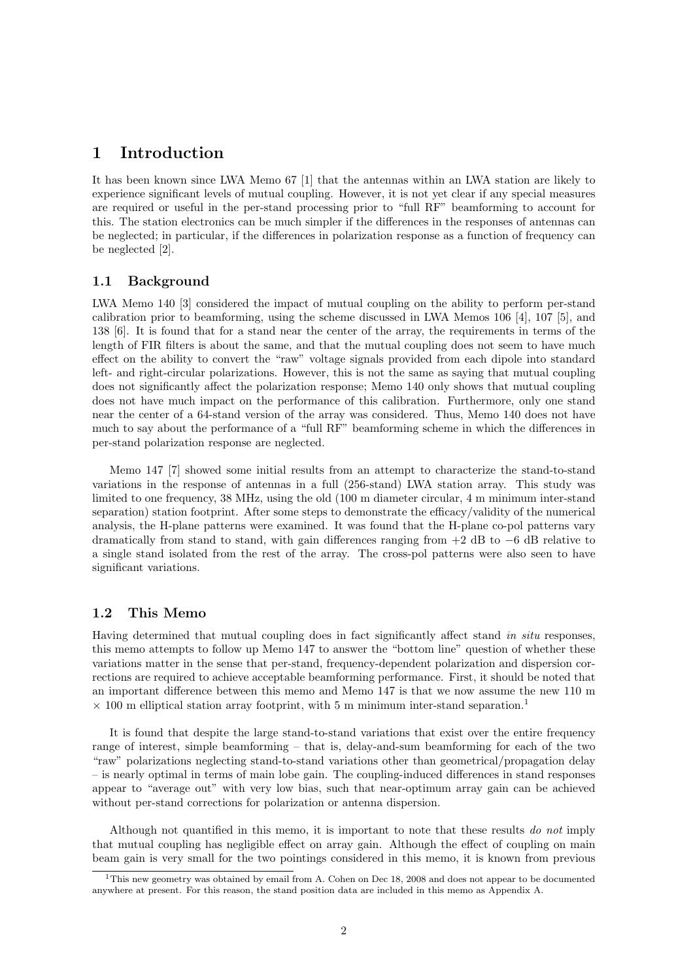## 1 Introduction

It has been known since LWA Memo 67 [1] that the antennas within an LWA station are likely to experience significant levels of mutual coupling. However, it is not yet clear if any special measures are required or useful in the per-stand processing prior to "full RF" beamforming to account for this. The station electronics can be much simpler if the differences in the responses of antennas can be neglected; in particular, if the differences in polarization response as a function of frequency can be neglected [2].

#### 1.1 Background

LWA Memo 140 [3] considered the impact of mutual coupling on the ability to perform per-stand calibration prior to beamforming, using the scheme discussed in LWA Memos 106 [4], 107 [5], and 138 [6]. It is found that for a stand near the center of the array, the requirements in terms of the length of FIR filters is about the same, and that the mutual coupling does not seem to have much effect on the ability to convert the "raw" voltage signals provided from each dipole into standard left- and right-circular polarizations. However, this is not the same as saying that mutual coupling does not significantly affect the polarization response; Memo 140 only shows that mutual coupling does not have much impact on the performance of this calibration. Furthermore, only one stand near the center of a 64-stand version of the array was considered. Thus, Memo 140 does not have much to say about the performance of a "full RF" beamforming scheme in which the differences in per-stand polarization response are neglected.

Memo 147 [7] showed some initial results from an attempt to characterize the stand-to-stand variations in the response of antennas in a full (256-stand) LWA station array. This study was limited to one frequency, 38 MHz, using the old (100 m diameter circular, 4 m minimum inter-stand separation) station footprint. After some steps to demonstrate the efficacy/validity of the numerical analysis, the H-plane patterns were examined. It was found that the H-plane co-pol patterns vary dramatically from stand to stand, with gain differences ranging from  $+2$  dB to  $-6$  dB relative to a single stand isolated from the rest of the array. The cross-pol patterns were also seen to have significant variations.

#### 1.2 This Memo

Having determined that mutual coupling does in fact significantly affect stand in situ responses, this memo attempts to follow up Memo 147 to answer the "bottom line" question of whether these variations matter in the sense that per-stand, frequency-dependent polarization and dispersion corrections are required to achieve acceptable beamforming performance. First, it should be noted that an important difference between this memo and Memo 147 is that we now assume the new 110 m  $\times$  100 m elliptical station array footprint, with 5 m minimum inter-stand separation.<sup>1</sup>

It is found that despite the large stand-to-stand variations that exist over the entire frequency range of interest, simple beamforming – that is, delay-and-sum beamforming for each of the two "raw" polarizations neglecting stand-to-stand variations other than geometrical/propagation delay – is nearly optimal in terms of main lobe gain. The coupling-induced differences in stand responses appear to "average out" with very low bias, such that near-optimum array gain can be achieved without per-stand corrections for polarization or antenna dispersion.

Although not quantified in this memo, it is important to note that these results do not imply that mutual coupling has negligible effect on array gain. Although the effect of coupling on main beam gain is very small for the two pointings considered in this memo, it is known from previous

<sup>1</sup>This new geometry was obtained by email from A. Cohen on Dec 18, 2008 and does not appear to be documented anywhere at present. For this reason, the stand position data are included in this memo as Appendix A.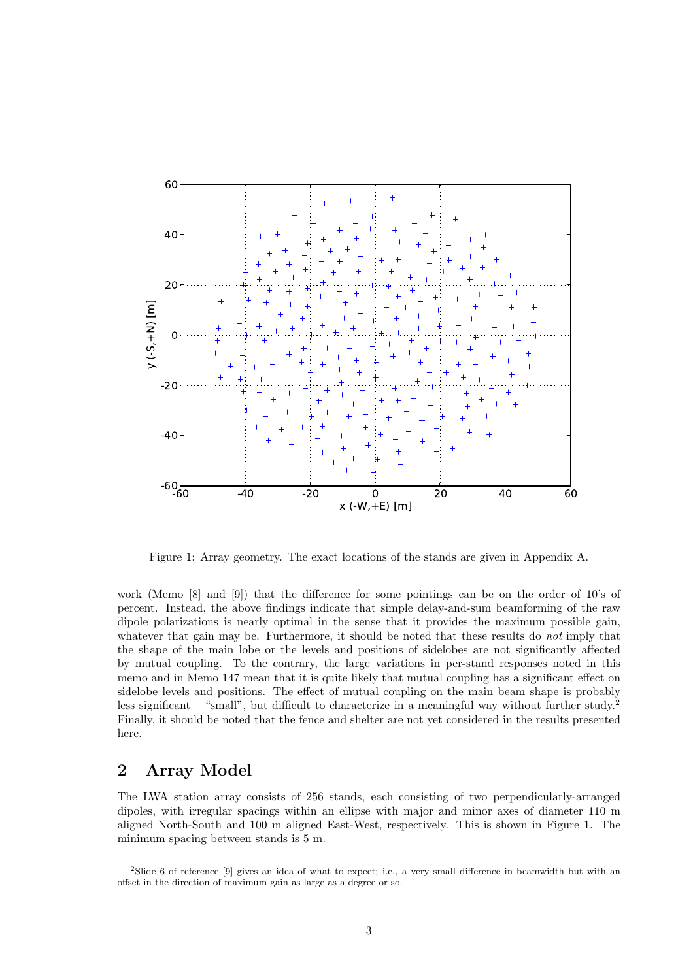

Figure 1: Array geometry. The exact locations of the stands are given in Appendix A.

work (Memo [8] and [9]) that the difference for some pointings can be on the order of 10's of percent. Instead, the above findings indicate that simple delay-and-sum beamforming of the raw dipole polarizations is nearly optimal in the sense that it provides the maximum possible gain, whatever that gain may be. Furthermore, it should be noted that these results do *not* imply that the shape of the main lobe or the levels and positions of sidelobes are not significantly affected by mutual coupling. To the contrary, the large variations in per-stand responses noted in this memo and in Memo 147 mean that it is quite likely that mutual coupling has a significant effect on sidelobe levels and positions. The effect of mutual coupling on the main beam shape is probably less significant – "small", but difficult to characterize in a meaningful way without further study.<sup>2</sup> Finally, it should be noted that the fence and shelter are not yet considered in the results presented here.

## 2 Array Model

The LWA station array consists of 256 stands, each consisting of two perpendicularly-arranged dipoles, with irregular spacings within an ellipse with major and minor axes of diameter 110 m aligned North-South and 100 m aligned East-West, respectively. This is shown in Figure 1. The minimum spacing between stands is 5 m.

<sup>2</sup>Slide 6 of reference [9] gives an idea of what to expect; i.e., a very small difference in beamwidth but with an offset in the direction of maximum gain as large as a degree or so.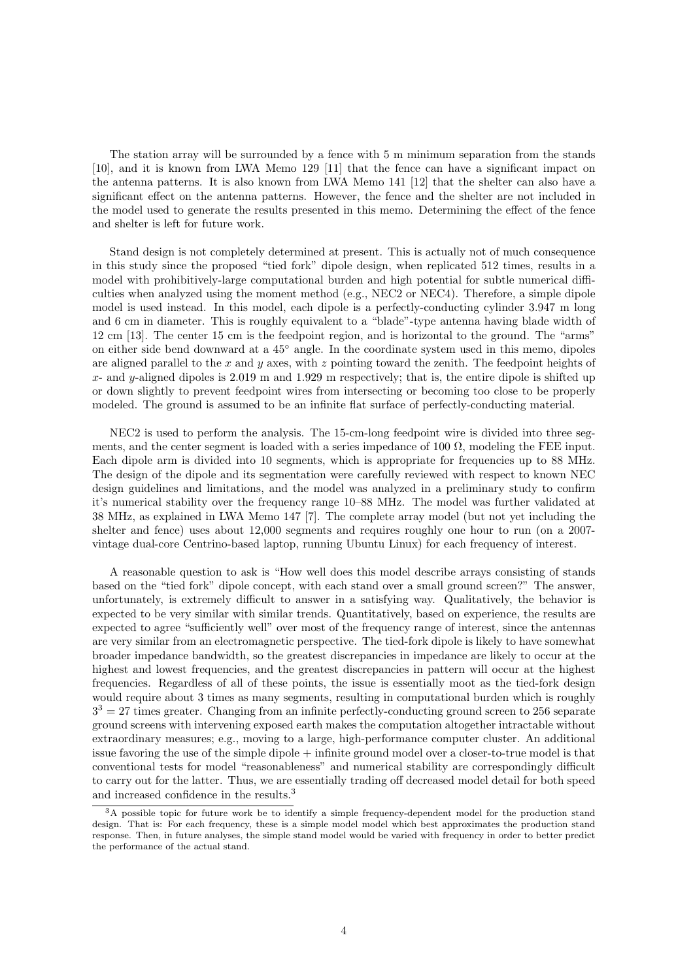The station array will be surrounded by a fence with 5 m minimum separation from the stands [10], and it is known from LWA Memo 129 [11] that the fence can have a significant impact on the antenna patterns. It is also known from LWA Memo 141 [12] that the shelter can also have a significant effect on the antenna patterns. However, the fence and the shelter are not included in the model used to generate the results presented in this memo. Determining the effect of the fence and shelter is left for future work.

Stand design is not completely determined at present. This is actually not of much consequence in this study since the proposed "tied fork" dipole design, when replicated 512 times, results in a model with prohibitively-large computational burden and high potential for subtle numerical difficulties when analyzed using the moment method (e.g., NEC2 or NEC4). Therefore, a simple dipole model is used instead. In this model, each dipole is a perfectly-conducting cylinder 3.947 m long and 6 cm in diameter. This is roughly equivalent to a "blade"-type antenna having blade width of 12 cm [13]. The center 15 cm is the feedpoint region, and is horizontal to the ground. The "arms" on either side bend downward at a 45◦ angle. In the coordinate system used in this memo, dipoles are aligned parallel to the x and y axes, with z pointing toward the zenith. The feedpoint heights of  $x$ - and y-aligned dipoles is 2.019 m and 1.929 m respectively; that is, the entire dipole is shifted up or down slightly to prevent feedpoint wires from intersecting or becoming too close to be properly modeled. The ground is assumed to be an infinite flat surface of perfectly-conducting material.

NEC2 is used to perform the analysis. The 15-cm-long feedpoint wire is divided into three segments, and the center segment is loaded with a series impedance of 100  $\Omega$ , modeling the FEE input. Each dipole arm is divided into 10 segments, which is appropriate for frequencies up to 88 MHz. The design of the dipole and its segmentation were carefully reviewed with respect to known NEC design guidelines and limitations, and the model was analyzed in a preliminary study to confirm it's numerical stability over the frequency range 10–88 MHz. The model was further validated at 38 MHz, as explained in LWA Memo 147 [7]. The complete array model (but not yet including the shelter and fence) uses about 12,000 segments and requires roughly one hour to run (on a 2007 vintage dual-core Centrino-based laptop, running Ubuntu Linux) for each frequency of interest.

A reasonable question to ask is "How well does this model describe arrays consisting of stands based on the "tied fork" dipole concept, with each stand over a small ground screen?" The answer, unfortunately, is extremely difficult to answer in a satisfying way. Qualitatively, the behavior is expected to be very similar with similar trends. Quantitatively, based on experience, the results are expected to agree "sufficiently well" over most of the frequency range of interest, since the antennas are very similar from an electromagnetic perspective. The tied-fork dipole is likely to have somewhat broader impedance bandwidth, so the greatest discrepancies in impedance are likely to occur at the highest and lowest frequencies, and the greatest discrepancies in pattern will occur at the highest frequencies. Regardless of all of these points, the issue is essentially moot as the tied-fork design would require about 3 times as many segments, resulting in computational burden which is roughly  $3<sup>3</sup> = 27$  times greater. Changing from an infinite perfectly-conducting ground screen to 256 separate ground screens with intervening exposed earth makes the computation altogether intractable without extraordinary measures; e.g., moving to a large, high-performance computer cluster. An additional issue favoring the use of the simple dipole + infinite ground model over a closer-to-true model is that conventional tests for model "reasonableness" and numerical stability are correspondingly difficult to carry out for the latter. Thus, we are essentially trading off decreased model detail for both speed and increased confidence in the results.<sup>3</sup>

<sup>&</sup>lt;sup>3</sup>A possible topic for future work be to identify a simple frequency-dependent model for the production stand design. That is: For each frequency, these is a simple model model which best approximates the production stand response. Then, in future analyses, the simple stand model would be varied with frequency in order to better predict the performance of the actual stand.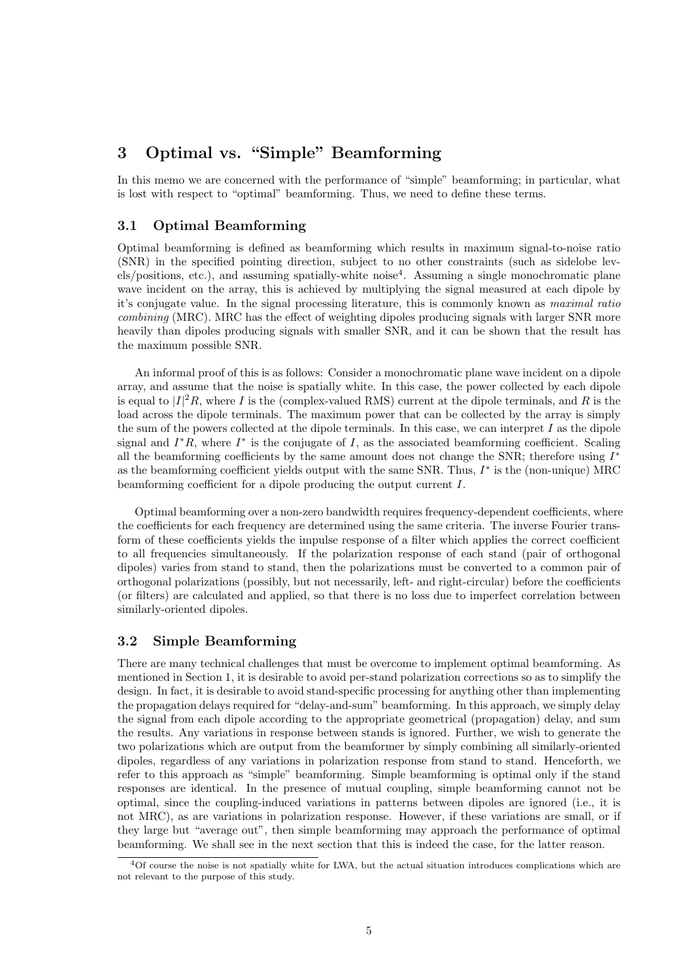## 3 Optimal vs. "Simple" Beamforming

In this memo we are concerned with the performance of "simple" beamforming; in particular, what is lost with respect to "optimal" beamforming. Thus, we need to define these terms.

#### 3.1 Optimal Beamforming

Optimal beamforming is defined as beamforming which results in maximum signal-to-noise ratio (SNR) in the specified pointing direction, subject to no other constraints (such as sidelobe levels/positions, etc.), and assuming spatially-white noise<sup>4</sup>. Assuming a single monochromatic plane wave incident on the array, this is achieved by multiplying the signal measured at each dipole by it's conjugate value. In the signal processing literature, this is commonly known as maximal ratio combining (MRC). MRC has the effect of weighting dipoles producing signals with larger SNR more heavily than dipoles producing signals with smaller SNR, and it can be shown that the result has the maximum possible SNR.

An informal proof of this is as follows: Consider a monochromatic plane wave incident on a dipole array, and assume that the noise is spatially white. In this case, the power collected by each dipole is equal to  $|I|^2R$ , where I is the (complex-valued RMS) current at the dipole terminals, and R is the load across the dipole terminals. The maximum power that can be collected by the array is simply the sum of the powers collected at the dipole terminals. In this case, we can interpret  $I$  as the dipole signal and  $I^*R$ , where  $I^*$  is the conjugate of I, as the associated beamforming coefficient. Scaling all the beamforming coefficients by the same amount does not change the SNR; therefore using  $I^*$ as the beamforming coefficient yields output with the same SNR. Thus,  $I^*$  is the (non-unique) MRC beamforming coefficient for a dipole producing the output current I.

Optimal beamforming over a non-zero bandwidth requires frequency-dependent coefficients, where the coefficients for each frequency are determined using the same criteria. The inverse Fourier transform of these coefficients yields the impulse response of a filter which applies the correct coefficient to all frequencies simultaneously. If the polarization response of each stand (pair of orthogonal dipoles) varies from stand to stand, then the polarizations must be converted to a common pair of orthogonal polarizations (possibly, but not necessarily, left- and right-circular) before the coefficients (or filters) are calculated and applied, so that there is no loss due to imperfect correlation between similarly-oriented dipoles.

#### 3.2 Simple Beamforming

There are many technical challenges that must be overcome to implement optimal beamforming. As mentioned in Section 1, it is desirable to avoid per-stand polarization corrections so as to simplify the design. In fact, it is desirable to avoid stand-specific processing for anything other than implementing the propagation delays required for "delay-and-sum" beamforming. In this approach, we simply delay the signal from each dipole according to the appropriate geometrical (propagation) delay, and sum the results. Any variations in response between stands is ignored. Further, we wish to generate the two polarizations which are output from the beamformer by simply combining all similarly-oriented dipoles, regardless of any variations in polarization response from stand to stand. Henceforth, we refer to this approach as "simple" beamforming. Simple beamforming is optimal only if the stand responses are identical. In the presence of mutual coupling, simple beamforming cannot not be optimal, since the coupling-induced variations in patterns between dipoles are ignored (i.e., it is not MRC), as are variations in polarization response. However, if these variations are small, or if they large but "average out", then simple beamforming may approach the performance of optimal beamforming. We shall see in the next section that this is indeed the case, for the latter reason.

<sup>4</sup>Of course the noise is not spatially white for LWA, but the actual situation introduces complications which are not relevant to the purpose of this study.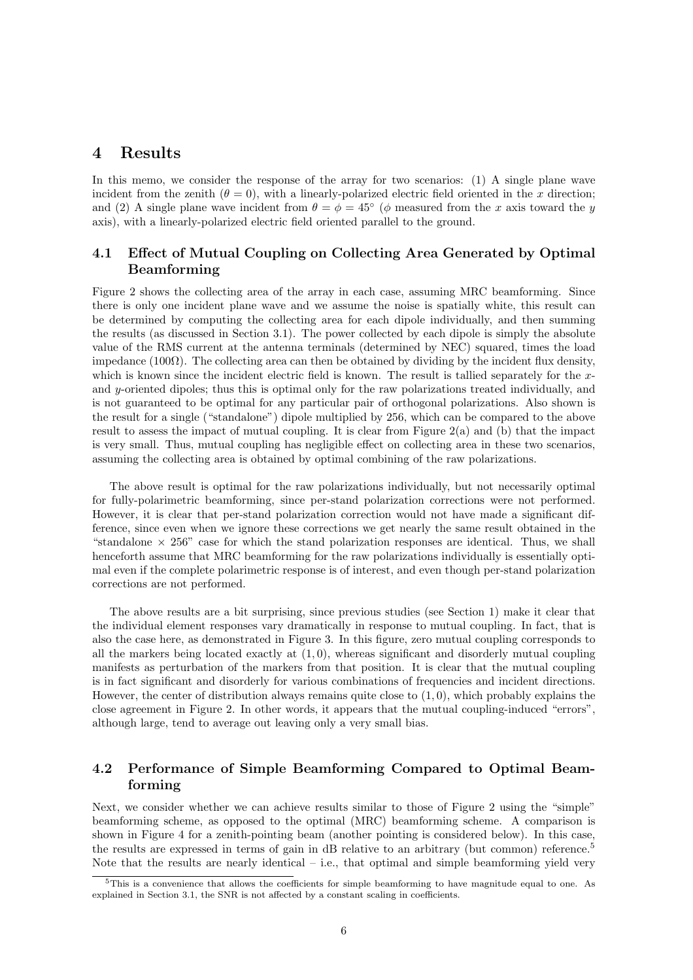### 4 Results

In this memo, we consider the response of the array for two scenarios: (1) A single plane wave incident from the zenith  $(\theta = 0)$ , with a linearly-polarized electric field oriented in the x direction; and (2) A single plane wave incident from  $\theta = \phi = 45^{\circ}$  ( $\phi$  measured from the x axis toward the y axis), with a linearly-polarized electric field oriented parallel to the ground.

#### 4.1 Effect of Mutual Coupling on Collecting Area Generated by Optimal Beamforming

Figure 2 shows the collecting area of the array in each case, assuming MRC beamforming. Since there is only one incident plane wave and we assume the noise is spatially white, this result can be determined by computing the collecting area for each dipole individually, and then summing the results (as discussed in Section 3.1). The power collected by each dipole is simply the absolute value of the RMS current at the antenna terminals (determined by NEC) squared, times the load impedance  $(100\Omega)$ . The collecting area can then be obtained by dividing by the incident flux density, which is known since the incident electric field is known. The result is tallied separately for the  $x$ and y-oriented dipoles; thus this is optimal only for the raw polarizations treated individually, and is not guaranteed to be optimal for any particular pair of orthogonal polarizations. Also shown is the result for a single ("standalone") dipole multiplied by 256, which can be compared to the above result to assess the impact of mutual coupling. It is clear from Figure  $2(a)$  and (b) that the impact is very small. Thus, mutual coupling has negligible effect on collecting area in these two scenarios, assuming the collecting area is obtained by optimal combining of the raw polarizations.

The above result is optimal for the raw polarizations individually, but not necessarily optimal for fully-polarimetric beamforming, since per-stand polarization corrections were not performed. However, it is clear that per-stand polarization correction would not have made a significant difference, since even when we ignore these corrections we get nearly the same result obtained in the "standalone  $\times$  256" case for which the stand polarization responses are identical. Thus, we shall henceforth assume that MRC beamforming for the raw polarizations individually is essentially optimal even if the complete polarimetric response is of interest, and even though per-stand polarization corrections are not performed.

The above results are a bit surprising, since previous studies (see Section 1) make it clear that the individual element responses vary dramatically in response to mutual coupling. In fact, that is also the case here, as demonstrated in Figure 3. In this figure, zero mutual coupling corresponds to all the markers being located exactly at  $(1, 0)$ , whereas significant and disorderly mutual coupling manifests as perturbation of the markers from that position. It is clear that the mutual coupling is in fact significant and disorderly for various combinations of frequencies and incident directions. However, the center of distribution always remains quite close to  $(1, 0)$ , which probably explains the close agreement in Figure 2. In other words, it appears that the mutual coupling-induced "errors", although large, tend to average out leaving only a very small bias.

#### 4.2 Performance of Simple Beamforming Compared to Optimal Beamforming

Next, we consider whether we can achieve results similar to those of Figure 2 using the "simple" beamforming scheme, as opposed to the optimal (MRC) beamforming scheme. A comparison is shown in Figure 4 for a zenith-pointing beam (another pointing is considered below). In this case, the results are expressed in terms of gain in dB relative to an arbitrary (but common) reference.<sup>5</sup> Note that the results are nearly identical  $-$  i.e., that optimal and simple beamforming yield very

 $5$ This is a convenience that allows the coefficients for simple beamforming to have magnitude equal to one. As explained in Section 3.1, the SNR is not affected by a constant scaling in coefficients.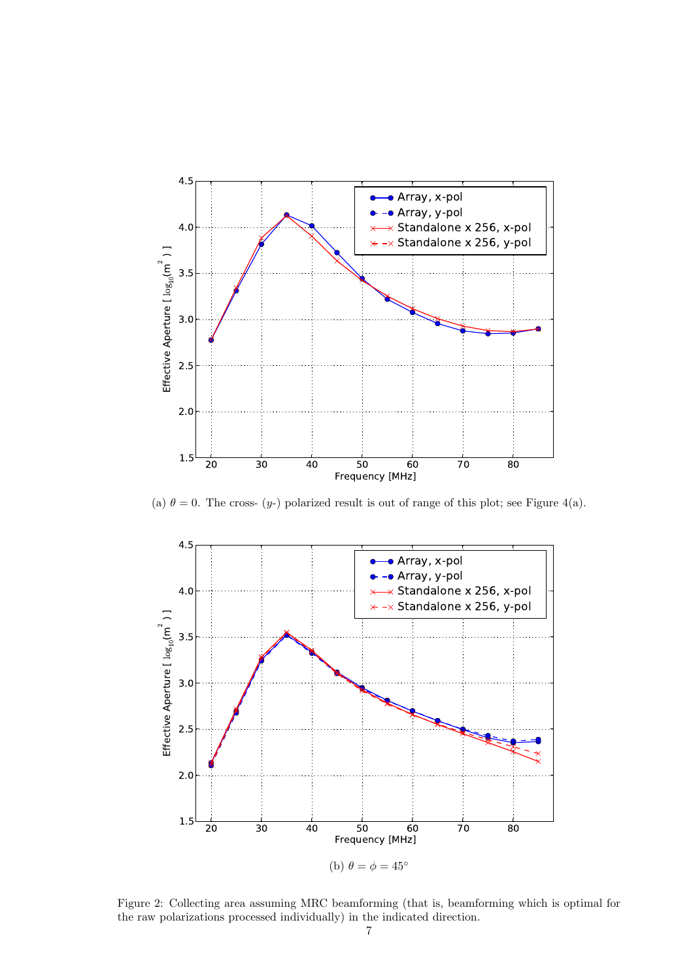

(a)  $\theta = 0$ . The cross- (y-) polarized result is out of range of this plot; see Figure 4(a).



Figure 2: Collecting area assuming MRC beamforming (that is, beamforming which is optimal for the raw polarizations processed individually) in the indicated direction.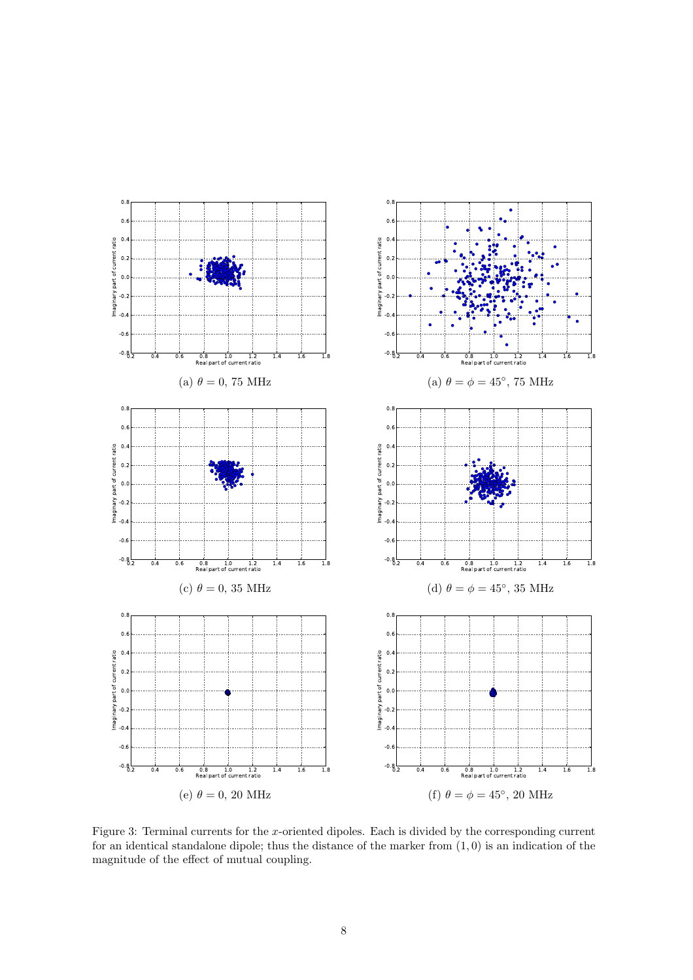

Figure 3: Terminal currents for the x-oriented dipoles. Each is divided by the corresponding current for an identical standalone dipole; thus the distance of the marker from  $(1, 0)$  is an indication of the magnitude of the effect of mutual coupling.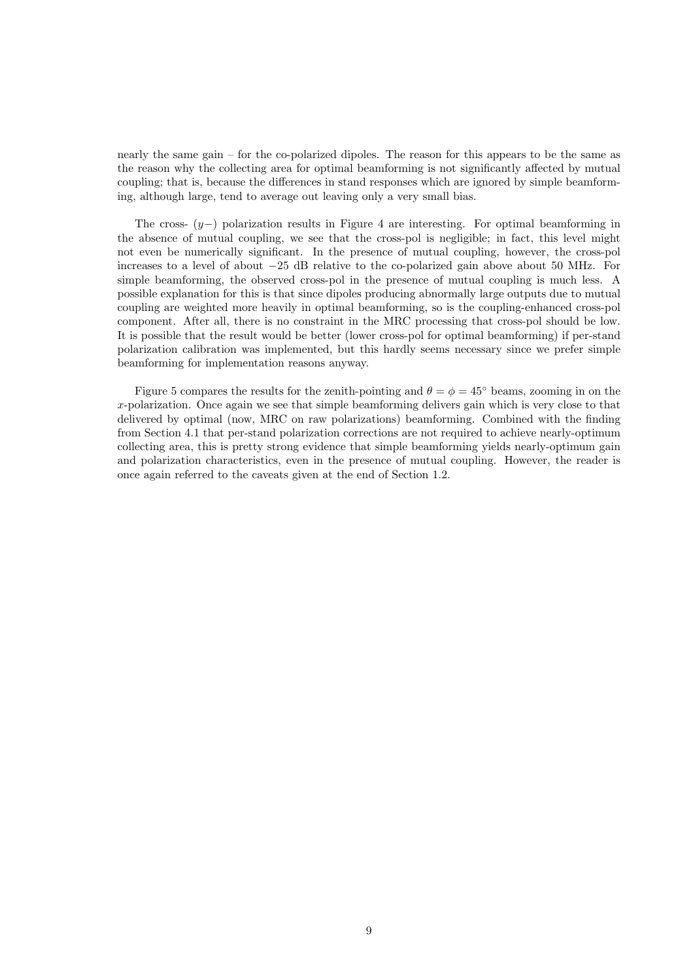nearly the same gain – for the co-polarized dipoles. The reason for this appears to be the same as the reason why the collecting area for optimal beamforming is not significantly affected by mutual coupling; that is, because the differences in stand responses which are ignored by simple beamforming, although large, tend to average out leaving only a very small bias.

The cross-  $(y-)$  polarization results in Figure 4 are interesting. For optimal beamforming in the absence of mutual coupling, we see that the cross-pol is negligible; in fact, this level might not even be numerically significant. In the presence of mutual coupling, however, the cross-pol increases to a level of about −25 dB relative to the co-polarized gain above about 50 MHz. For simple beamforming, the observed cross-pol in the presence of mutual coupling is much less. A possible explanation for this is that since dipoles producing abnormally large outputs due to mutual coupling are weighted more heavily in optimal beamforming, so is the coupling-enhanced cross-pol component. After all, there is no constraint in the MRC processing that cross-pol should be low. It is possible that the result would be better (lower cross-pol for optimal beamforming) if per-stand polarization calibration was implemented, but this hardly seems necessary since we prefer simple beamforming for implementation reasons anyway.

Figure 5 compares the results for the zenith-pointing and  $\theta = \phi = 45^{\circ}$  beams, zooming in on the x-polarization. Once again we see that simple beamforming delivers gain which is very close to that delivered by optimal (now, MRC on raw polarizations) beamforming. Combined with the finding from Section 4.1 that per-stand polarization corrections are not required to achieve nearly-optimum collecting area, this is pretty strong evidence that simple beamforming yields nearly-optimum gain and polarization characteristics, even in the presence of mutual coupling. However, the reader is once again referred to the caveats given at the end of Section 1.2.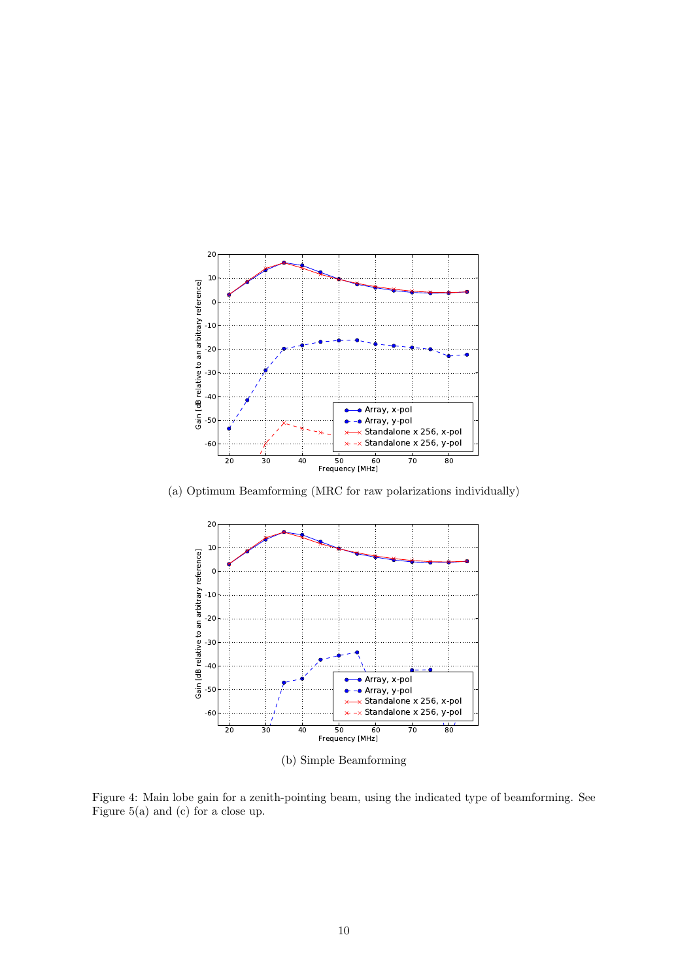

(a) Optimum Beamforming (MRC for raw polarizations individually)



Figure 4: Main lobe gain for a zenith-pointing beam, using the indicated type of beamforming. See Figure 5(a) and (c) for a close up.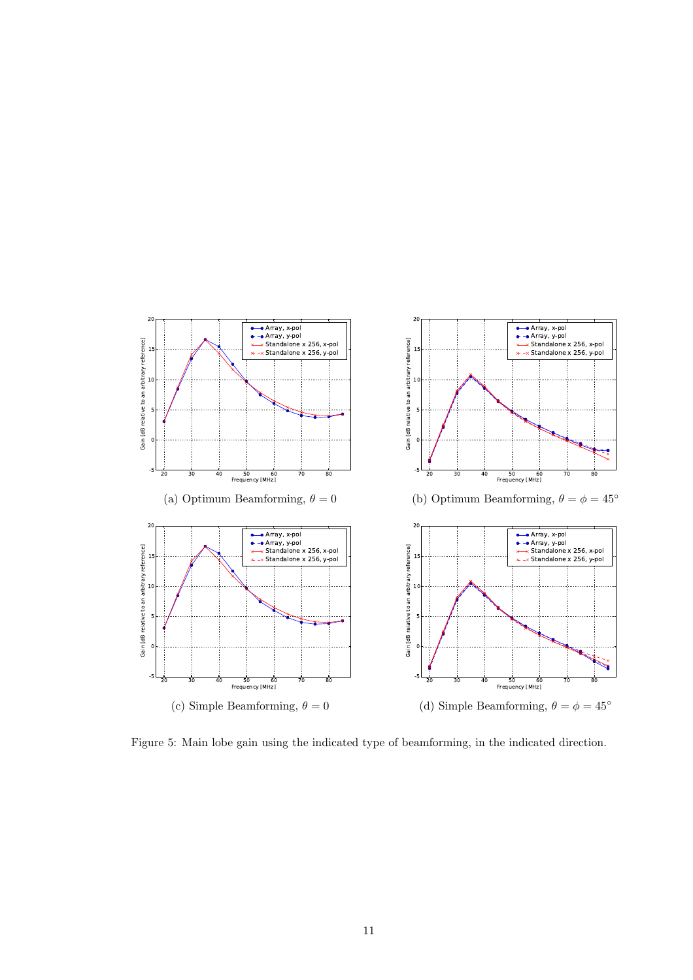

Figure 5: Main lobe gain using the indicated type of beamforming, in the indicated direction.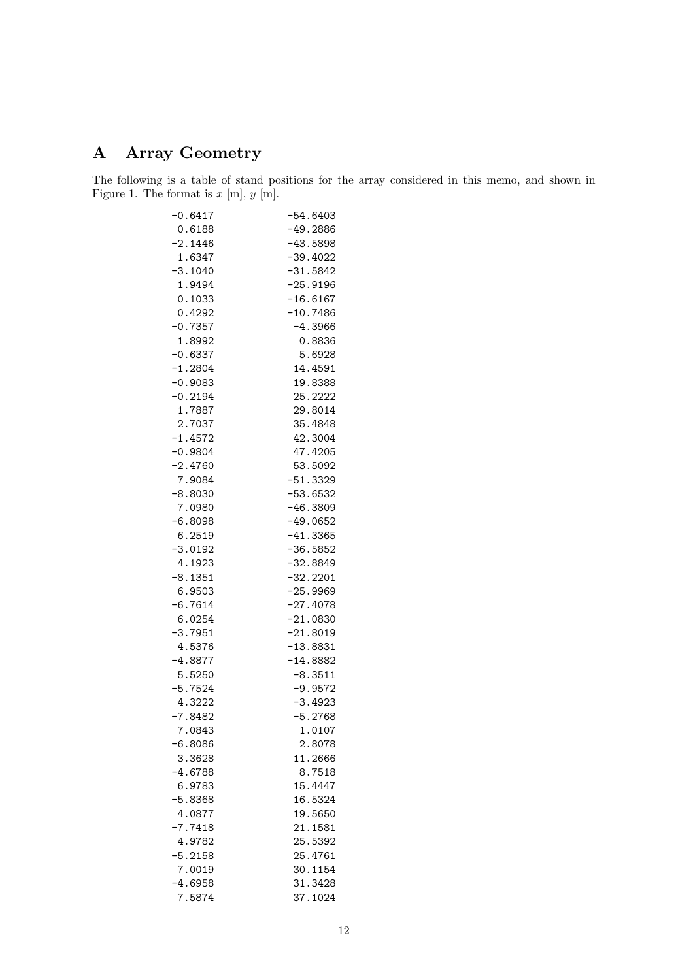## A Array Geometry

The following is a table of stand positions for the array considered in this memo, and shown in Figure 1. The format is  $x \text{ [m]}, y \text{ [m]}.$ 

| $-0.6417$ | $-54.6403$ |
|-----------|------------|
| 0.6188    | $-49.2886$ |
| $-2.1446$ | $-43.5898$ |
| 1.6347    | $-39.4022$ |
| $-3.1040$ | $-31.5842$ |
| 1.9494    | $-25.9196$ |
| 0.1033    | $-16.6167$ |
| 0.4292    | $-10.7486$ |
| $-0.7357$ | $-4.3966$  |
| 1.8992    | 0.8836     |
| $-0.6337$ | 5.6928     |
| $-1.2804$ | 14.4591    |
| $-0.9083$ | 19.8388    |
| $-0.2194$ | 25.2222    |
| 1.7887    | 29.8014    |
| 2.7037    | 35.4848    |
| $-1.4572$ | 42.3004    |
| $-0.9804$ | 47.4205    |
| $-2.4760$ | 53.5092    |
| 7.9084    | $-51.3329$ |
| $-8.8030$ | $-53.6532$ |
| 7.0980    | $-46.3809$ |
| $-6.8098$ | $-49.0652$ |
| 6.2519    | $-41.3365$ |
| $-3.0192$ | $-36.5852$ |
| 4.1923    | $-32.8849$ |
| $-8.1351$ | $-32.2201$ |
| 6.9503    | $-25.9969$ |
| $-6.7614$ | $-27.4078$ |
| 6.0254    | $-21.0830$ |
| $-3.7951$ | $-21.8019$ |
| 4.5376    | $-13.8831$ |
| $-4.8877$ | $-14.8882$ |
| 5.5250    | $-8.3511$  |
| $-5.7524$ | $-9.9572$  |
| 4.3222    | $-3.4923$  |
| $-7.8482$ | $-5.2768$  |
| 7.0843    | 1.0107     |
| $-6.8086$ | 2.8078     |
| 3.3628    | 11.2666    |
| -4.6788   | 8.7518     |
| 6.9783    | 15.4447    |
| $-5.8368$ | 16.5324    |
| 4.0877    | 19.5650    |
| $-7.7418$ | 21.1581    |
| 4.9782    | 25.5392    |
| $-5.2158$ | 25.4761    |
| 7.0019    | 30.1154    |
| $-4.6958$ | 31.3428    |
| 7.5874    | 37.1024    |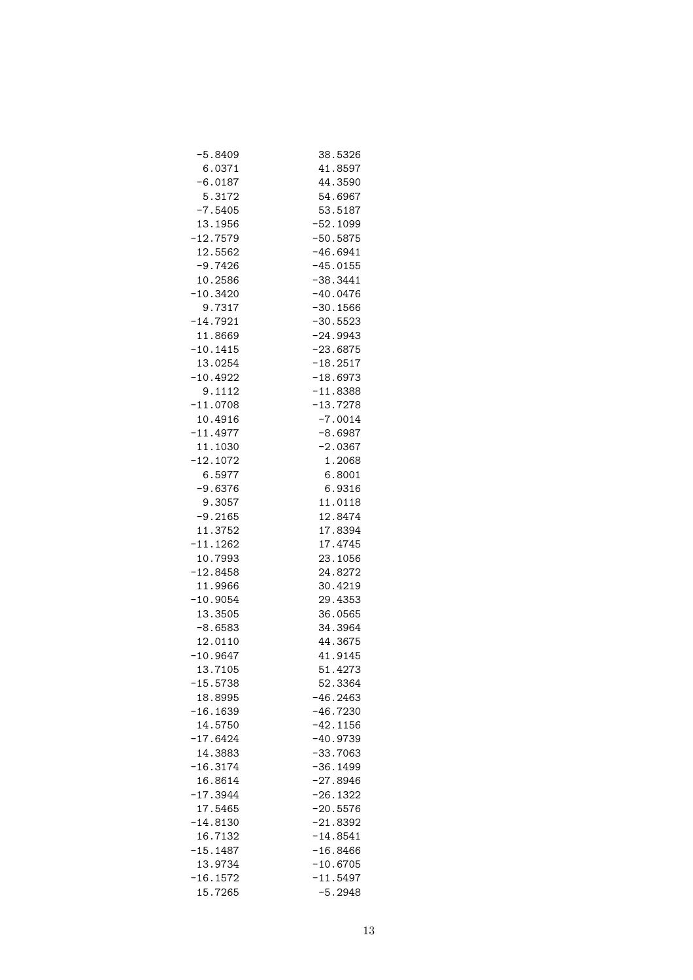| $-5.8409$             | 38.5326                  |
|-----------------------|--------------------------|
| 6.0371                | 41.8597                  |
| $-6.0187$             | 44.3590                  |
| 5.3172                | 54.6967                  |
| $-7.5405$             | 53.5187                  |
| 13.1956               | $-52.1099$               |
| $-12.7579$            | $-50.5875$               |
| 12.5562               | $-46.6941$               |
| $-9.7426$             | $-45.0155$               |
| 10.2586               | $-38.3441$               |
| $-10.3420$            | $-40.0476$               |
| 9.7317                | $-30.1566$               |
| $-14.7921$            | $-30.5523$               |
| 11.8669               | $-24.9943$               |
| $-10.1415$            | $-23.6875$               |
| 13.0254               | $-18.2517$               |
| $-10.4922$            | $-18.6973$               |
| 9.1112                | $-11.8388$               |
| $-11.0708$            | $-13.7278$               |
| 10.4916               | $-7.0014$                |
| $-11.4977$            | $-8.6987$                |
| 11.1030               | $-2.0367$                |
| $-12.1072$            | 1.2068                   |
| 6.5977                | 6.8001                   |
| $-9.6376$             | 6.9316                   |
| 9.3057                | 11.0118                  |
| $-9.2165$             | 12.8474                  |
| 11.3752               | 17.8394                  |
| $-11.1262$            | 17.4745                  |
| 10.7993               | 23.1056                  |
| $-12.8458$            | 24.8272                  |
| 11.9966               | 30.4219                  |
| $-10.9054$            | 29.4353                  |
| 13.3505               | 36.0565                  |
| $-8.6583$             | 34.3964                  |
| 12.0110               | 44.3675                  |
| $-10.9647$            | 41.9145                  |
| 13.7105               | 51.4273                  |
| $-15.5738$            | 52.3364                  |
| 18.8995               | $-46.2463$               |
| $-16.1639$            | $-46.7230$               |
| 14.5750               | $-42.1156$               |
| $-17.6424$            | $-40.9739$               |
| 14.3883<br>$-16.3174$ | $-33.7063$               |
| 16.8614               | $-36.1499$<br>$-27.8946$ |
|                       |                          |
| $-17.3944$<br>17.5465 | $-26.1322$               |
| $-14.8130$            | $-20.5576$<br>$-21.8392$ |
| 16.7132               | $-14.8541$               |
| $-15.1487$            | $-16.8466$               |
| 13.9734               | $-10.6705$               |
| $-16.1572$            | $-11.5497$               |
| 15.7265               | $-5.2948$                |
|                       |                          |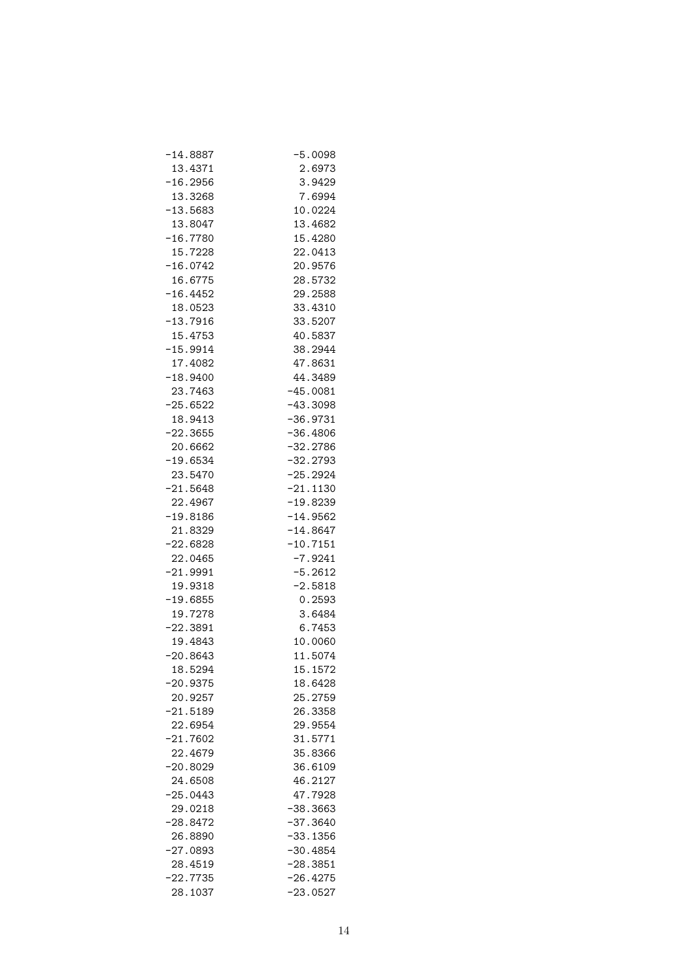| $-14.8887$ | $-5.0098$  |
|------------|------------|
| 13.4371    | 2.6973     |
| $-16.2956$ | 3.9429     |
| 13.3268    | 7.6994     |
| $-13.5683$ | 10.0224    |
| 13.8047    | 13.4682    |
| $-16.7780$ | 15.4280    |
| 15.7228    | 22.0413    |
| $-16.0742$ | 20.9576    |
| 16.6775    | 28.5732    |
| $-16.4452$ | 29.2588    |
| 18.0523    | 33.4310    |
| $-13.7916$ | 33.5207    |
| 15.4753    | 40.5837    |
| $-15.9914$ | 38.2944    |
| 17.4082    | 47.8631    |
| $-18.9400$ | 44.3489    |
| 23.7463    | $-45.0081$ |
| $-25.6522$ | $-43.3098$ |
| 18.9413    | $-36.9731$ |
| $-22.3655$ | $-36.4806$ |
| 20.6662    | $-32.2786$ |
| $-19.6534$ | $-32.2793$ |
| 23.5470    | $-25.2924$ |
| $-21.5648$ | $-21.1130$ |
| 22.4967    | $-19.8239$ |
| $-19.8186$ | $-14.9562$ |
| 21.8329    | $-14.8647$ |
| $-22.6828$ | $-10.7151$ |
| 22.0465    | $-7.9241$  |
| $-21.9991$ | $-5.2612$  |
| 19.9318    | $-2.5818$  |
| $-19.6855$ | 0.2593     |
| 19.7278    | 3.6484     |
| $-22.3891$ | 6.7453     |
| 19.4843    | 10.0060    |
| $-20.8643$ | 11.5074    |
| 18.5294    | 15.1572    |
| 20.9375    | 18.6428    |
| 20.9257    | 25.2759    |
| $-21.5189$ | 26.3358    |
| 22.6954    | 29.9554    |
| $-21.7602$ | 31.5771    |
| 22.4679    | 35.8366    |
| $-20.8029$ | 36.6109    |
|            | 46.2127    |
| 24.6508    |            |
| $-25.0443$ | 47.7928    |
| 29.0218    | $-38.3663$ |
| -28.8472   | $-37.3640$ |
| 26.8890    | $-33.1356$ |
| $-27.0893$ | $-30.4854$ |
| 28.4519    | $-28.3851$ |
| $-22.7735$ | -26.4275   |
| 28.1037    | $-23.0527$ |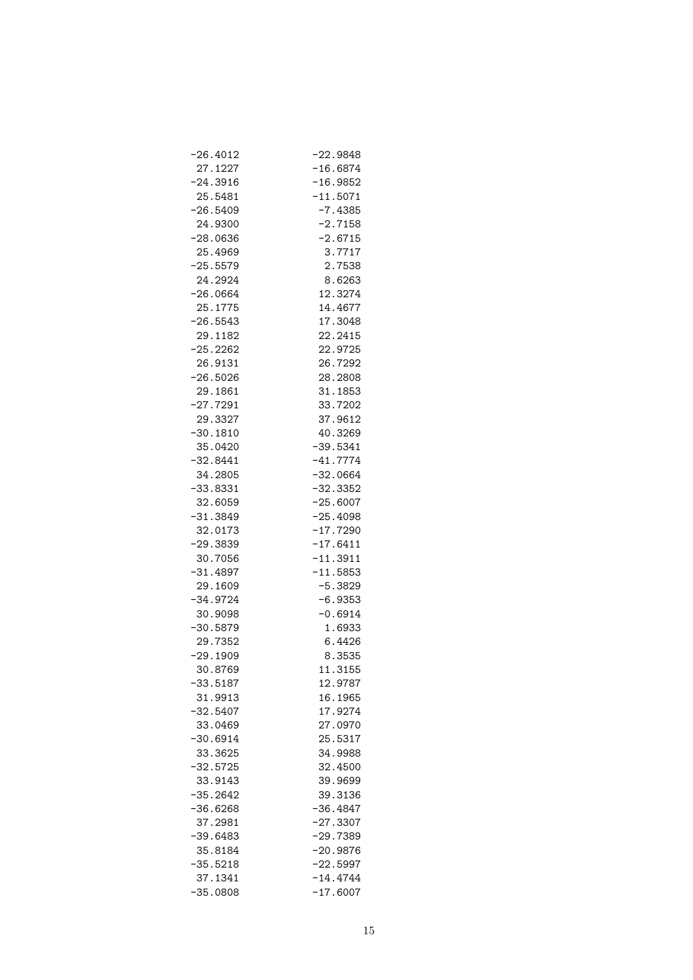| $-26.4012$            | $-22.9848$ |
|-----------------------|------------|
| 27.1227               | $-16.6874$ |
| $-24.3916$            | $-16.9852$ |
| 25.5481               | $-11.5071$ |
| $-26.5409$            | $-7.4385$  |
| 24.9300               | $-2.7158$  |
| $-28.0636$            | $-2.6715$  |
| 25.4969               | 3.7717     |
| $-25.5579$            | 2.7538     |
| 24.2924               | 8.6263     |
| $-26.0664$            | 12.3274    |
| 25.1775               | 14.4677    |
| $-26.5543$            | 17.3048    |
| 29.1182               | 22.2415    |
| $-25.2262$            | 22.9725    |
| 26.9131               | 26.7292    |
| $-26.5026$            | 28.2808    |
| 29.1861               | 31.1853    |
| $-27.7291$            | 33.7202    |
| 29.3327               | 37.9612    |
| $-30.1810$            | 40.3269    |
| 35.0420               | $-39.5341$ |
| $-32.8441$            | $-41.7774$ |
| 34.2805               | $-32.0664$ |
| $-33.8331$            | $-32.3352$ |
| 32.6059               | $-25.6007$ |
| $-31.3849$            | $-25.4098$ |
|                       | $-17.7290$ |
| 32.0173<br>$-29.3839$ | $-17.6411$ |
|                       |            |
| 30.7056               | $-11.3911$ |
| $-31.4897$            | $-11.5853$ |
| 29.1609               | $-5.3829$  |
| $-34.9724$            | $-6.9353$  |
| 30.9098               | $-0.6914$  |
| $-30.5879$            | 1.6933     |
| 29.7352               | 6.4426     |
| $-29.1909$            | 8.3535     |
| 30.8769               | 11.3155    |
| $-33.5187$            | 12.9787    |
| 31.9913               | 16.1965    |
| $-32.5407$            | 17.9274    |
| 33.0469               | 27.0970    |
| $-30.6914$            | 25.5317    |
| 33.3625               | 34.9988    |
| $-32.5725$            | 32.4500    |
| 33.9143               | 39.9699    |
| $-35.2642$            | 39.3136    |
| $-36.6268$            | $-36.4847$ |
| 37.2981               | $-27.3307$ |
| $-39.6483$            | $-29.7389$ |
| 35.8184               | $-20.9876$ |
| $-35.5218$            | $-22.5997$ |
| 37.1341               | $-14.4744$ |
| $-35.0808$            | $-17.6007$ |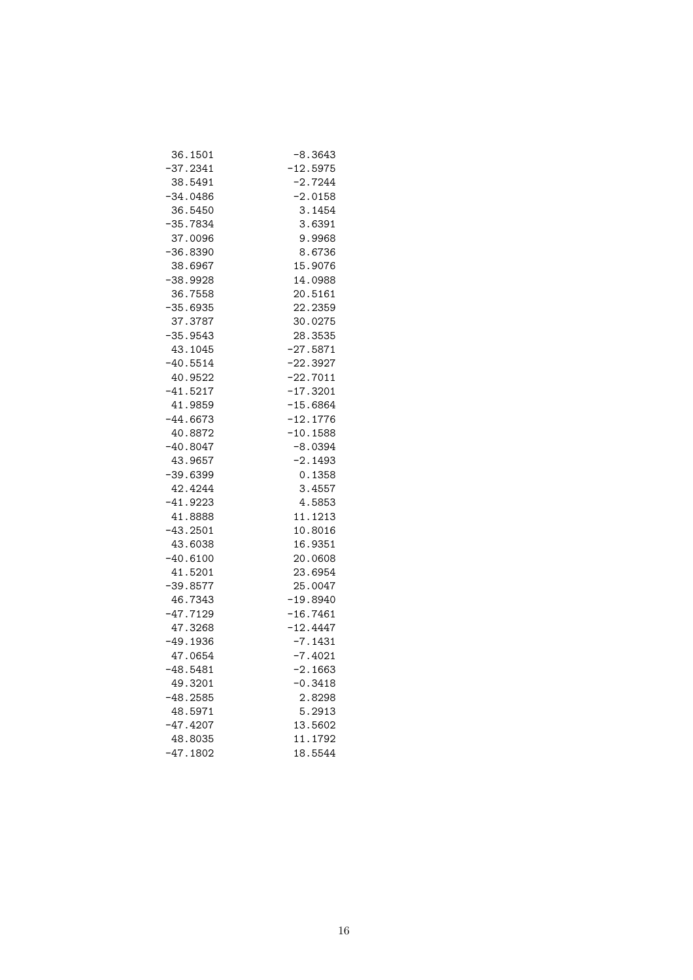| 36.1501    | $-8.3643$  |
|------------|------------|
| -37.2341   | $-12.5975$ |
| 38.5491    | $-2.7244$  |
| $-34.0486$ | $-2.0158$  |
| 36.5450    | 3.1454     |
| -35.7834   | 3.6391     |
| 37.0096    | 9.9968     |
| $-36.8390$ | 8.6736     |
| 38.6967    | 15.9076    |
| $-38.9928$ | 14.0988    |
| 36.7558    | 20.5161    |
| $-35.6935$ | 22.2359    |
| 37.3787    | 30.0275    |
| $-35.9543$ | 28.3535    |
| 43.1045    | $-27.5871$ |
| $-40.5514$ | $-22.3927$ |
| 40.9522    | $-22.7011$ |
| $-41.5217$ | $-17.3201$ |
| 41.9859    | $-15.6864$ |
| $-44.6673$ | $-12.1776$ |
| 40.8872    | $-10.1588$ |
| $-40.8047$ | $-8.0394$  |
| 43.9657    | $-2.1493$  |
| $-39.6399$ | 0.1358     |
| 42.4244    | 3.4557     |
| $-41.9223$ | 4.5853     |
| 41.8888    | 11.1213    |
| $-43.2501$ | 10.8016    |
| 43.6038    | 16.9351    |
| $-40.6100$ | 20.0608    |
| 41.5201    | 23.6954    |
| $-39.8577$ | 25.0047    |
| 46.7343    | $-19.8940$ |
| $-47.7129$ | $-16.7461$ |
| 47.3268    | $-12.4447$ |
| $-49.1936$ | $-7.1431$  |
| 47.0654    | $-7.4021$  |
| $-48.5481$ | $-2.1663$  |
| 49.3201    | $-0.3418$  |
| $-48.2585$ | 2.8298     |
| 48.5971    | 5.2913     |
| $-47.4207$ | 13.5602    |
| 48.8035    | 11.1792    |
| $-47.1802$ | 18.5544    |